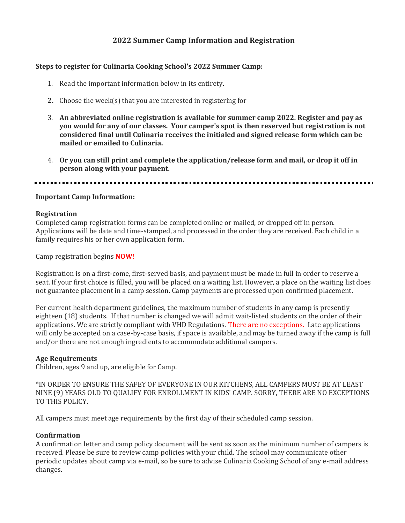# **2022 Summer Camp Information and Registration**

#### **Steps to register for Culinaria Cooking School's 2022 Summer Camp:**

- 1. Read the important information below in its entirety.
- **2.** Choose the week(s) that you are interested in registering for
- 3. **An abbreviated online registration is available for summer camp 2022. Register and pay as you would for any of our classes. Your camper's spot is then reserved but registration is not considered final until Culinaria receives the initialed and signed release form which can be mailed or emailed to Culinaria.**
- 4. **Or you can still print and complete the application/release form and mail, or drop it off in person along with your payment.**

#### **Important Camp Information:**

#### **Registration**

Completed camp registration forms can be completed online or mailed, or dropped off in person. Applications will be date and time-stamped, and processed in the order they are received. Each child in a family requires his or her own application form.

Camp registration begins **NOW**!

Registration is on a first-come, first-served basis, and payment must be made in full in order to reserve a seat. If your first choice is filled, you will be placed on a waiting list. However, a place on the waiting list does not guarantee placement in a camp session. Camp payments are processed upon confirmed placement.

Per current health department guidelines, the maximum number of students in any camp is presently eighteen (18) students. If that number is changed we will admit wait-listed students on the order of their applications. We are strictly compliant with VHD Regulations. There are no exceptions. Late applications will only be accepted on a case-by-case basis, if space is available, and may be turned away if the camp is full and/or there are not enough ingredients to accommodate additional campers.

#### **Age Requirements**

Children, ages 9 and up, are eligible for Camp.

\*IN ORDER TO ENSURE THE SAFEY OF EVERYONE IN OUR KITCHENS, ALL CAMPERS MUST BE AT LEAST NINE (9) YEARS OLD TO QUALIFY FOR ENROLLMENT IN KIDS' CAMP. SORRY, THERE ARE NO EXCEPTIONS TO THIS POLICY.

All campers must meet age requirements by the first day of their scheduled camp session.

#### **Confirmation**

A confirmation letter and camp policy document will be sent as soon as the minimum number of campers is received. Please be sure to review camp policies with your child. The school may communicate other periodic updates about camp via e-mail, so be sure to advise Culinaria Cooking School of any e-mail address changes.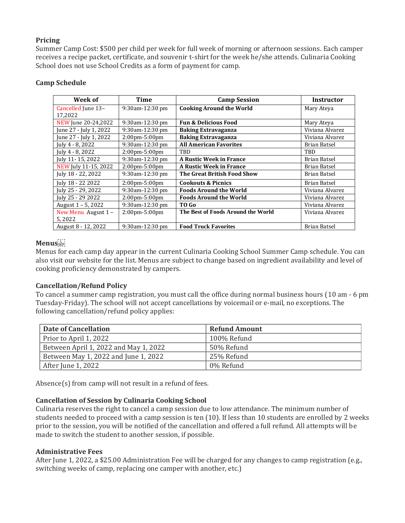## **Pricing**

Summer Camp Cost: \$500 per child per week for full week of morning or afternoon sessions. Each camper receives a recipe packet, certificate, and souvenir t-shirt for the week he/she attends. Culinaria Cooking School does not use School Credits as a form of payment for camp.

| Week of                | Time                              | <b>Camp Session</b>                | <b>Instructor</b> |
|------------------------|-----------------------------------|------------------------------------|-------------------|
| Cancelled June 13-     | 9:30am-12:30 pm                   | <b>Cooking Around the World</b>    | Mary Ateya        |
| 17,2022                |                                   |                                    |                   |
| NEW June 20-24,2022    | 9:30am-12:30 pm                   | <b>Fun &amp; Delicious Food</b>    | Mary Ateya        |
| June 27 - July 1, 2022 | 9:30am-12:30 pm                   | <b>Baking Extravaganza</b>         | Viviana Alvarez   |
| June 27 - July 1, 2022 | $2:00 \text{pm} - 5:00 \text{pm}$ | <b>Baking Extravaganza</b>         | Viviana Alvarez   |
| July 4 - 8, 2022       | 9:30am-12:30 pm                   | <b>All American Favorites</b>      | Brian Batsel      |
| July 4 - 8, 2022       | $2:00 \text{pm} - 5:00 \text{pm}$ | TBD                                | TBD               |
| July 11-15, 2022       | 9:30am-12:30 pm                   | <b>A Rustic Week in France</b>     | Brian Batsel      |
| NEW July 11-15, 2022   | $2:00 \text{pm} - 5:00 \text{pm}$ | <b>A Rustic Week in France</b>     | Brian Batsel      |
| July 18 - 22, 2022     | 9:30am-12:30 pm                   | The Great British Food Show        | Brian Batsel      |
| July 18 - 22 2022      | $2:00 \text{pm} - 5:00 \text{pm}$ | <b>Cookouts &amp; Picnics</b>      | Brian Batsel      |
| July 25 - 29, 2022     | 9:30am-12:30 pm                   | <b>Foods Around the World</b>      | Viviana Alvarez   |
| July 25 - 29 2022      | $2:00 \text{pm} - 5:00 \text{pm}$ | <b>Foods Around the World</b>      | Viviana Alvarez   |
| August 1 – 5, 2022     | 9:30am-12:30 pm                   | TO Go                              | Viviana Alvarez   |
| New Menu August 1 -    | $2:00 \text{pm} - 5:00 \text{pm}$ | The Best of Foods Around the World | Viviana Alvarez   |
| 5,2022                 |                                   |                                    |                   |
| August 8 - 12, 2022    | 9:30am-12:30 pm                   | <b>Food Truck Favorites</b>        | Brian Batsel      |

## **Camp Schedule**

# **Menus**

Menus for each camp day appear in the current Culinaria Cooking School Summer Camp schedule. You can also visit our website for the list. Menus are subject to change based on ingredient availability and level of cooking proficiency demonstrated by campers.

# **Cancellation/Refund Policy**

To cancel a summer camp registration, you must call the office during normal business hours (10 am - 6 pm Tuesday-Friday). The school will not accept cancellations by voicemail or e-mail, no exceptions. The following cancellation/refund policy applies:

| Date of Cancellation                  | <b>Refund Amount</b> |
|---------------------------------------|----------------------|
| Prior to April 1, 2022                | 100% Refund          |
| Between April 1, 2022 and May 1, 2022 | 50% Refund           |
| Between May 1, 2022 and June 1, 2022  | 25% Refund           |
| After June 1, 2022                    | 0% Refund            |

Absence(s) from camp will not result in a refund of fees.

## **Cancellation of Session by Culinaria Cooking School**

Culinaria reserves the right to cancel a camp session due to low attendance. The minimum number of students needed to proceed with a camp session is ten (10). If less than 10 students are enrolled by 2 weeks prior to the session, you will be notified of the cancellation and offered a full refund. All attempts will be made to switch the student to another session, if possible.

## **Administrative Fees**

After June 1, 2022, a \$25.00 Administration Fee will be charged for any changes to camp registration (e.g., switching weeks of camp, replacing one camper with another, etc.)